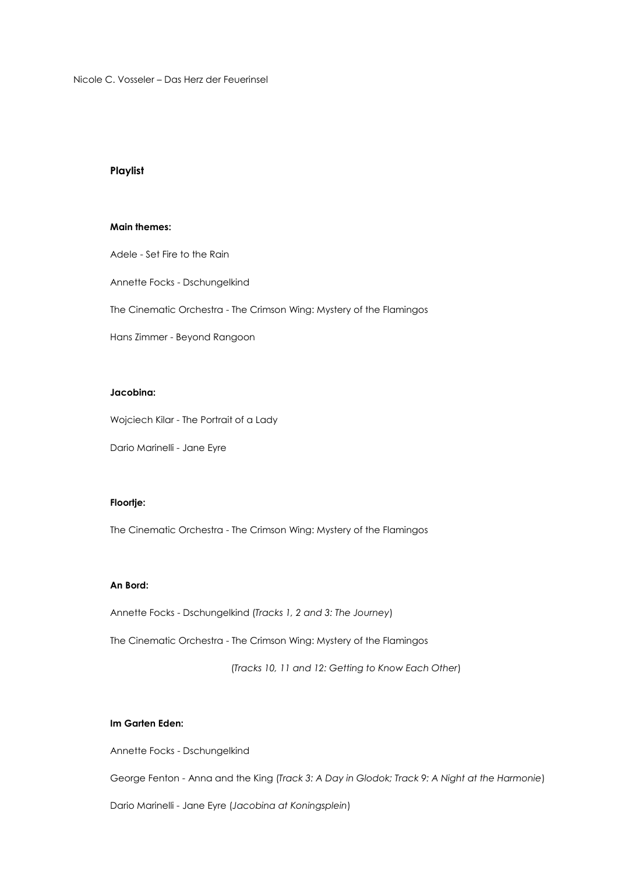Nicole C. Vosseler – Das Herz der Feuerinsel

## **Playlist**

#### **Main themes:**

Adele - Set Fire to the Rain

Annette Focks - Dschungelkind

The Cinematic Orchestra - The Crimson Wing: Mystery of the Flamingos

Hans Zimmer - Beyond Rangoon

#### **Jacobina:**

Wojciech Kilar - The Portrait of a Lady

Dario Marinelli - Jane Eyre

### **Floortje:**

The Cinematic Orchestra - The Crimson Wing: Mystery of the Flamingos

#### **An Bord:**

Annette Focks - Dschungelkind (*Tracks 1, 2 and 3: The Journey*)

The Cinematic Orchestra - The Crimson Wing: Mystery of the Flamingos

(*Tracks 10, 11 and 12: Getting to Know Each Other*)

### **Im Garten Eden:**

Annette Focks - Dschungelkind

George Fenton - Anna and the King (*Track 3: A Day in Glodok; Track 9: A Night at the Harmonie*)

Dario Marinelli - Jane Eyre (*Jacobina at Koningsplein*)